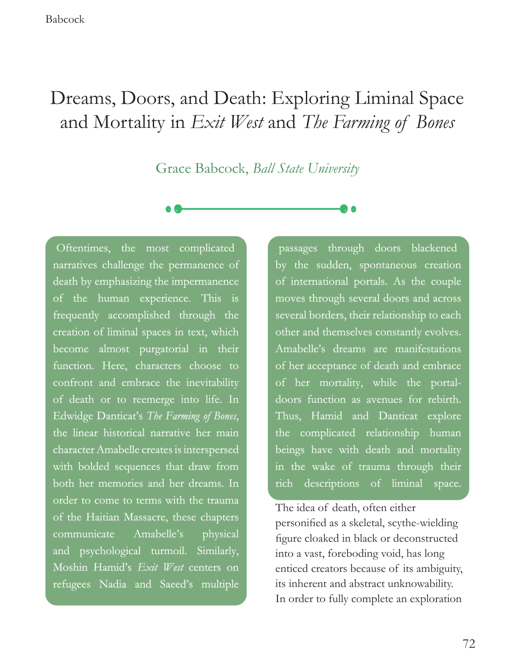# Dreams, Doors, and Death: Exploring Liminal Space and Mortality in *Exit West* and *The Farming of Bones*

Grace Babcock, *Ball State University*

Oftentimes, the most complicated narratives challenge the permanence of death by emphasizing the impermanence of the human experience. This is frequently accomplished through the creation of liminal spaces in text, which become almost purgatorial in their function. Here, characters choose to confront and embrace the inevitability of death or to reemerge into life. In Edwidge Danticat's *The Farming of Bones*, the linear historical narrative her main character Amabelle creates is interspersed with bolded sequences that draw from both her memories and her dreams. In order to come to terms with the trauma of the Haitian Massacre, these chapters communicate Amabelle's physical and psychological turmoil. Similarly, Moshin Hamid's *Exit West* centers on refugees Nadia and Saeed's multiple

passages through doors blackened by the sudden, spontaneous creation of international portals. As the couple moves through several doors and across several borders, their relationship to each other and themselves constantly evolves. Amabelle's dreams are manifestations of her acceptance of death and embrace of her mortality, while the portaldoors function as avenues for rebirth. Thus, Hamid and Danticat explore the complicated relationship human beings have with death and mortality in the wake of trauma through their rich descriptions of liminal space.

The idea of death, often either personifed as a skeletal, scythe-wielding fgure cloaked in black or deconstructed into a vast, foreboding void, has long enticed creators because of its ambiguity, its inherent and abstract unknowability. In order to fully complete an exploration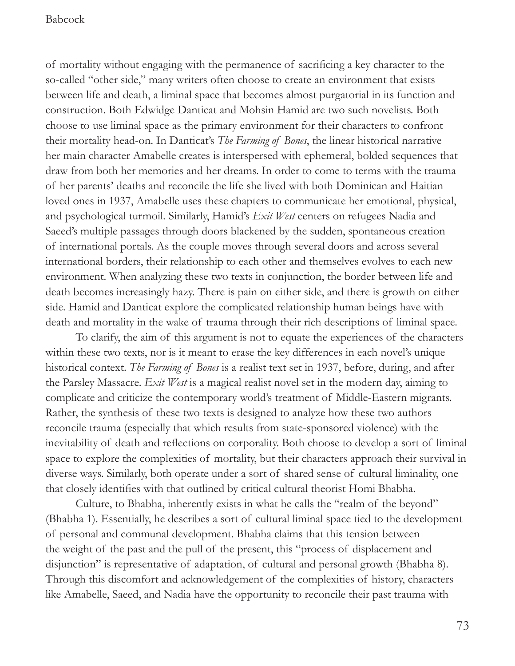of mortality without engaging with the permanence of sacrifcing a key character to the so-called "other side," many writers often choose to create an environment that exists between life and death, a liminal space that becomes almost purgatorial in its function and construction. Both Edwidge Danticat and Mohsin Hamid are two such novelists. Both choose to use liminal space as the primary environment for their characters to confront their mortality head-on. In Danticat's *The Farming of Bones*, the linear historical narrative her main character Amabelle creates is interspersed with ephemeral, bolded sequences that draw from both her memories and her dreams. In order to come to terms with the trauma of her parents' deaths and reconcile the life she lived with both Dominican and Haitian loved ones in 1937, Amabelle uses these chapters to communicate her emotional, physical, and psychological turmoil. Similarly, Hamid's *Exit West* centers on refugees Nadia and Saeed's multiple passages through doors blackened by the sudden, spontaneous creation of international portals. As the couple moves through several doors and across several international borders, their relationship to each other and themselves evolves to each new environment. When analyzing these two texts in conjunction, the border between life and death becomes increasingly hazy. There is pain on either side, and there is growth on either side. Hamid and Danticat explore the complicated relationship human beings have with death and mortality in the wake of trauma through their rich descriptions of liminal space.

To clarify, the aim of this argument is not to equate the experiences of the characters within these two texts, nor is it meant to erase the key differences in each novel's unique historical context. *The Farming of Bones* is a realist text set in 1937, before, during, and after the Parsley Massacre. *Exit West* is a magical realist novel set in the modern day, aiming to complicate and criticize the contemporary world's treatment of Middle-Eastern migrants. Rather, the synthesis of these two texts is designed to analyze how these two authors reconcile trauma (especially that which results from state-sponsored violence) with the inevitability of death and refections on corporality. Both choose to develop a sort of liminal space to explore the complexities of mortality, but their characters approach their survival in diverse ways. Similarly, both operate under a sort of shared sense of cultural liminality, one that closely identifes with that outlined by critical cultural theorist Homi Bhabha.

Culture, to Bhabha, inherently exists in what he calls the "realm of the beyond" (Bhabha 1). Essentially, he describes a sort of cultural liminal space tied to the development of personal and communal development. Bhabha claims that this tension between the weight of the past and the pull of the present, this "process of displacement and disjunction" is representative of adaptation, of cultural and personal growth (Bhabha 8). Through this discomfort and acknowledgement of the complexities of history, characters like Amabelle, Saeed, and Nadia have the opportunity to reconcile their past trauma with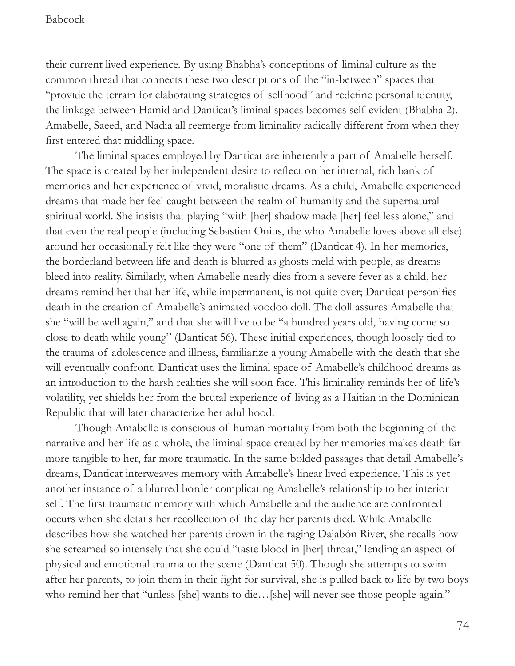their current lived experience. By using Bhabha's conceptions of liminal culture as the common thread that connects these two descriptions of the "in-between" spaces that "provide the terrain for elaborating strategies of selfhood" and redefne personal identity, the linkage between Hamid and Danticat's liminal spaces becomes self-evident (Bhabha 2). Amabelle, Saeed, and Nadia all reemerge from liminality radically different from when they frst entered that middling space.

The liminal spaces employed by Danticat are inherently a part of Amabelle herself. The space is created by her independent desire to refect on her internal, rich bank of memories and her experience of vivid, moralistic dreams. As a child, Amabelle experienced dreams that made her feel caught between the realm of humanity and the supernatural spiritual world. She insists that playing "with [her] shadow made [her] feel less alone," and that even the real people (including Sebastien Onius, the who Amabelle loves above all else) around her occasionally felt like they were "one of them" (Danticat 4). In her memories, the borderland between life and death is blurred as ghosts meld with people, as dreams bleed into reality. Similarly, when Amabelle nearly dies from a severe fever as a child, her dreams remind her that her life, while impermanent, is not quite over; Danticat personifes death in the creation of Amabelle's animated voodoo doll. The doll assures Amabelle that she "will be well again," and that she will live to be "a hundred years old, having come so close to death while young" (Danticat 56). These initial experiences, though loosely tied to the trauma of adolescence and illness, familiarize a young Amabelle with the death that she will eventually confront. Danticat uses the liminal space of Amabelle's childhood dreams as an introduction to the harsh realities she will soon face. This liminality reminds her of life's volatility, yet shields her from the brutal experience of living as a Haitian in the Dominican Republic that will later characterize her adulthood.

Though Amabelle is conscious of human mortality from both the beginning of the narrative and her life as a whole, the liminal space created by her memories makes death far more tangible to her, far more traumatic. In the same bolded passages that detail Amabelle's dreams, Danticat interweaves memory with Amabelle's linear lived experience. This is yet another instance of a blurred border complicating Amabelle's relationship to her interior self. The frst traumatic memory with which Amabelle and the audience are confronted occurs when she details her recollection of the day her parents died. While Amabelle describes how she watched her parents drown in the raging Dajabón River, she recalls how she screamed so intensely that she could "taste blood in [her] throat," lending an aspect of physical and emotional trauma to the scene (Danticat 50). Though she attempts to swim after her parents, to join them in their fght for survival, she is pulled back to life by two boys who remind her that "unless [she] wants to die...[she] will never see those people again."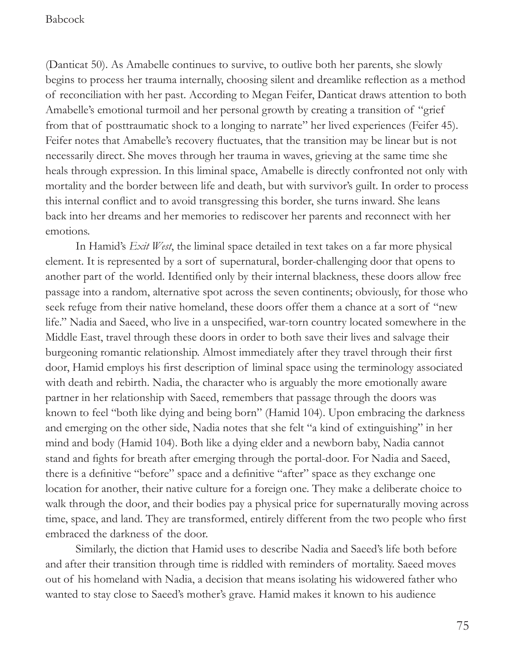(Danticat 50). As Amabelle continues to survive, to outlive both her parents, she slowly begins to process her trauma internally, choosing silent and dreamlike refection as a method of reconciliation with her past. According to Megan Feifer, Danticat draws attention to both Amabelle's emotional turmoil and her personal growth by creating a transition of "grief from that of posttraumatic shock to a longing to narrate" her lived experiences (Feifer 45). Feifer notes that Amabelle's recovery fuctuates, that the transition may be linear but is not necessarily direct. She moves through her trauma in waves, grieving at the same time she heals through expression. In this liminal space, Amabelle is directly confronted not only with mortality and the border between life and death, but with survivor's guilt. In order to process this internal confict and to avoid transgressing this border, she turns inward. She leans back into her dreams and her memories to rediscover her parents and reconnect with her emotions.

In Hamid's *Exit West*, the liminal space detailed in text takes on a far more physical element. It is represented by a sort of supernatural, border-challenging door that opens to another part of the world. Identifed only by their internal blackness, these doors allow free passage into a random, alternative spot across the seven continents; obviously, for those who seek refuge from their native homeland, these doors offer them a chance at a sort of "new life." Nadia and Saeed, who live in a unspecifed, war-torn country located somewhere in the Middle East, travel through these doors in order to both save their lives and salvage their burgeoning romantic relationship. Almost immediately after they travel through their frst door, Hamid employs his frst description of liminal space using the terminology associated with death and rebirth. Nadia, the character who is arguably the more emotionally aware partner in her relationship with Saeed, remembers that passage through the doors was known to feel "both like dying and being born" (Hamid 104). Upon embracing the darkness and emerging on the other side, Nadia notes that she felt "a kind of extinguishing" in her mind and body (Hamid 104). Both like a dying elder and a newborn baby, Nadia cannot stand and fghts for breath after emerging through the portal-door. For Nadia and Saeed, there is a defnitive "before" space and a defnitive "after" space as they exchange one location for another, their native culture for a foreign one. They make a deliberate choice to walk through the door, and their bodies pay a physical price for supernaturally moving across time, space, and land. They are transformed, entirely different from the two people who frst embraced the darkness of the door.

Similarly, the diction that Hamid uses to describe Nadia and Saeed's life both before and after their transition through time is riddled with reminders of mortality. Saeed moves out of his homeland with Nadia, a decision that means isolating his widowered father who wanted to stay close to Saeed's mother's grave. Hamid makes it known to his audience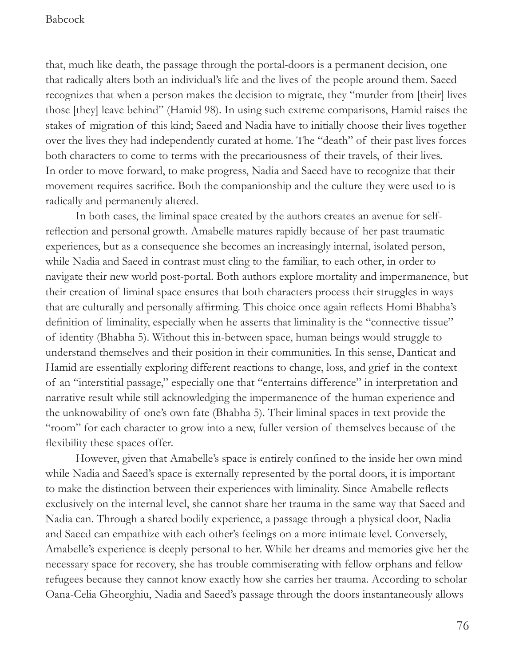that, much like death, the passage through the portal-doors is a permanent decision, one that radically alters both an individual's life and the lives of the people around them. Saeed recognizes that when a person makes the decision to migrate, they "murder from [their] lives those [they] leave behind" (Hamid 98). In using such extreme comparisons, Hamid raises the stakes of migration of this kind; Saeed and Nadia have to initially choose their lives together over the lives they had independently curated at home. The "death" of their past lives forces both characters to come to terms with the precariousness of their travels, of their lives. In order to move forward, to make progress, Nadia and Saeed have to recognize that their movement requires sacrifce. Both the companionship and the culture they were used to is radically and permanently altered.

In both cases, the liminal space created by the authors creates an avenue for selfrefection and personal growth. Amabelle matures rapidly because of her past traumatic experiences, but as a consequence she becomes an increasingly internal, isolated person, while Nadia and Saeed in contrast must cling to the familiar, to each other, in order to navigate their new world post-portal. Both authors explore mortality and impermanence, but their creation of liminal space ensures that both characters process their struggles in ways that are culturally and personally affrming. This choice once again refects Homi Bhabha's defnition of liminality, especially when he asserts that liminality is the "connective tissue" of identity (Bhabha 5). Without this in-between space, human beings would struggle to understand themselves and their position in their communities. In this sense, Danticat and Hamid are essentially exploring different reactions to change, loss, and grief in the context of an "interstitial passage," especially one that "entertains difference" in interpretation and narrative result while still acknowledging the impermanence of the human experience and the unknowability of one's own fate (Bhabha 5). Their liminal spaces in text provide the "room" for each character to grow into a new, fuller version of themselves because of the fexibility these spaces offer.

However, given that Amabelle's space is entirely confned to the inside her own mind while Nadia and Saeed's space is externally represented by the portal doors, it is important to make the distinction between their experiences with liminality. Since Amabelle refects exclusively on the internal level, she cannot share her trauma in the same way that Saeed and Nadia can. Through a shared bodily experience, a passage through a physical door, Nadia and Saeed can empathize with each other's feelings on a more intimate level. Conversely, Amabelle's experience is deeply personal to her. While her dreams and memories give her the necessary space for recovery, she has trouble commiserating with fellow orphans and fellow refugees because they cannot know exactly how she carries her trauma. According to scholar Oana-Celia Gheorghiu, Nadia and Saeed's passage through the doors instantaneously allows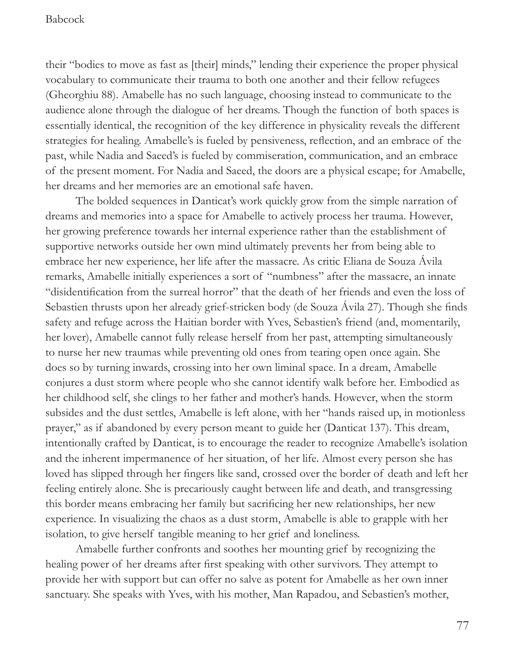their "bodies to move as fast as [their] minds," lending their experience the proper physical vocabulary to communicate their trauma to both one another and their fellow refugees (Gheorghiu 88). Amabelle has no such language, choosing instead to communicate to the audience alone through the dialogue of her dreams. Though the function of both spaces is essentially identical, the recognition of the key difference in physicality reveals the different strategies for healing. Amabelle's is fueled by pensiveness, refection, and an embrace of the past, while Nadia and Saeed's is fueled by commiseration, communication, and an embrace of the present moment. For Nadia and Saeed, the doors are a physical escape; for Amabelle, her dreams and her memories are an emotional safe haven.

The bolded sequences in Danticat's work quickly grow from the simple narration of dreams and memories into a space for Amabelle to actively process her trauma. However, her growing preference towards her internal experience rather than the establishment of supportive networks outside her own mind ultimately prevents her from being able to embrace her new experience, her life after the massacre. As critic Eliana de Souza Ávila remarks, Amabelle initially experiences a sort of "numbness" after the massacre, an innate "disidentifcation from the surreal horror" that the death of her friends and even the loss of Sebastien thrusts upon her already grief-stricken body (de Souza Avila 27). Though she fnds safety and refuge across the Haitian border with Yves, Sebastien's friend (and, momentarily, her lover), Amabelle cannot fully release herself from her past, attempting simultaneously to nurse her new traumas while preventing old ones from tearing open once again. She does so by turning inwards, crossing into her own liminal space. In a dream, Amabelle conjures a dust storm where people who she cannot identify walk before her. Embodied as her childhood self, she clings to her father and mother's hands. However, when the storm subsides and the dust settles, Amabelle is left alone, with her "hands raised up, in motionless prayer," as if abandoned by every person meant to guide her (Danticat 137). This dream, intentionally crafted by Danticat, is to encourage the reader to recognize Amabelle's isolation and the inherent impermanence of her situation, of her life. Almost every person she has loved has slipped through her fngers like sand, crossed over the border of death and left her feeling entirely alone. She is precariously caught between life and death, and transgressing this border means embracing her family but sacrifcing her new relationships, her new experience. In visualizing the chaos as a dust storm, Amabelle is able to grapple with her isolation, to give herself tangible meaning to her grief and loneliness.

Amabelle further confronts and soothes her mounting grief by recognizing the healing power of her dreams after frst speaking with other survivors. They attempt to provide her with support but can offer no salve as potent for Amabelle as her own inner sanctuary. She speaks with Yves, with his mother, Man Rapadou, and Sebastien's mother,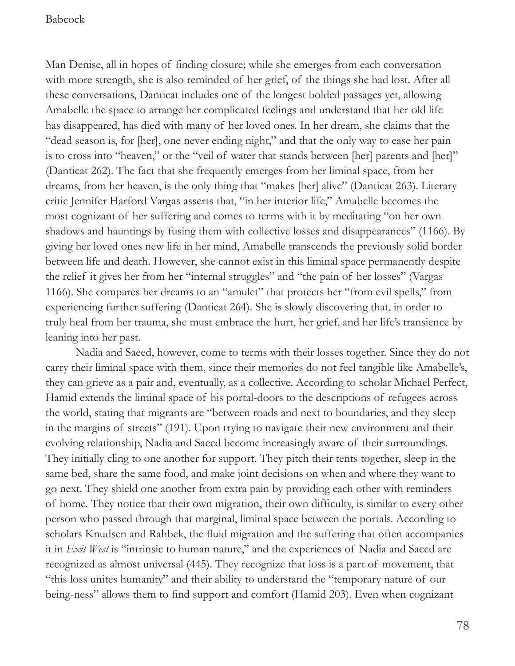Man Denise, all in hopes of fnding closure; while she emerges from each conversation with more strength, she is also reminded of her grief, of the things she had lost. After all these conversations, Danticat includes one of the longest bolded passages yet, allowing Amabelle the space to arrange her complicated feelings and understand that her old life has disappeared, has died with many of her loved ones. In her dream, she claims that the "dead season is, for [her], one never ending night," and that the only way to ease her pain is to cross into "heaven," or the "veil of water that stands between [her] parents and [her]" (Danticat 262). The fact that she frequently emerges from her liminal space, from her dreams, from her heaven, is the only thing that "makes [her] alive" (Danticat 263). Literary critic Jennifer Harford Vargas asserts that, "in her interior life," Amabelle becomes the most cognizant of her suffering and comes to terms with it by meditating "on her own shadows and hauntings by fusing them with collective losses and disappearances" (1166). By giving her loved ones new life in her mind, Amabelle transcends the previously solid border between life and death. However, she cannot exist in this liminal space permanently despite the relief it gives her from her "internal struggles" and "the pain of her losses" (Vargas 1166). She compares her dreams to an "amulet" that protects her "from evil spells," from experiencing further suffering (Danticat 264). She is slowly discovering that, in order to truly heal from her trauma, she must embrace the hurt, her grief, and her life's transience by leaning into her past.

Nadia and Saeed, however, come to terms with their losses together. Since they do not carry their liminal space with them, since their memories do not feel tangible like Amabelle's, they can grieve as a pair and, eventually, as a collective. According to scholar Michael Perfect, Hamid extends the liminal space of his portal-doors to the descriptions of refugees across the world, stating that migrants are "between roads and next to boundaries, and they sleep in the margins of streets" (191). Upon trying to navigate their new environment and their evolving relationship, Nadia and Saeed become increasingly aware of their surroundings. They initially cling to one another for support. They pitch their tents together, sleep in the same bed, share the same food, and make joint decisions on when and where they want to go next. They shield one another from extra pain by providing each other with reminders of home. They notice that their own migration, their own diffculty, is similar to every other person who passed through that marginal, liminal space between the portals. According to scholars Knudsen and Rahbek, the fuid migration and the suffering that often accompanies it in *Exit West* is "intrinsic to human nature," and the experiences of Nadia and Saeed are recognized as almost universal (445). They recognize that loss is a part of movement, that "this loss unites humanity" and their ability to understand the "temporary nature of our being-ness" allows them to fnd support and comfort (Hamid 203). Even when cognizant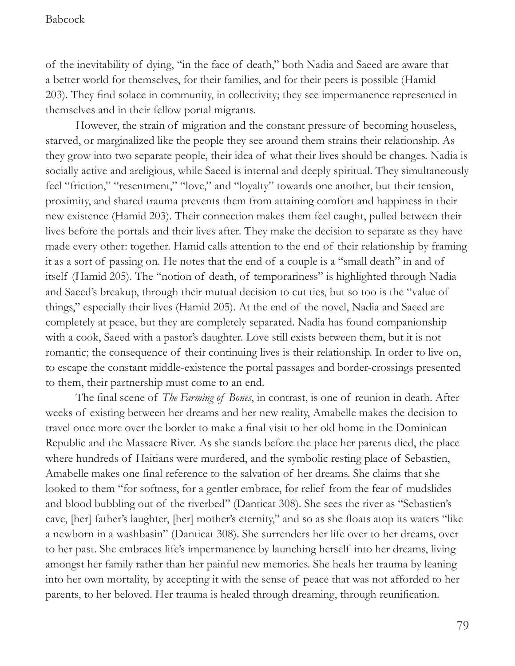of the inevitability of dying, "in the face of death," both Nadia and Saeed are aware that a better world for themselves, for their families, and for their peers is possible (Hamid 203). They fnd solace in community, in collectivity; they see impermanence represented in themselves and in their fellow portal migrants.

However, the strain of migration and the constant pressure of becoming houseless, starved, or marginalized like the people they see around them strains their relationship. As they grow into two separate people, their idea of what their lives should be changes. Nadia is socially active and areligious, while Saeed is internal and deeply spiritual. They simultaneously feel "friction," "resentment," "love," and "loyalty" towards one another, but their tension, proximity, and shared trauma prevents them from attaining comfort and happiness in their new existence (Hamid 203). Their connection makes them feel caught, pulled between their lives before the portals and their lives after. They make the decision to separate as they have made every other: together. Hamid calls attention to the end of their relationship by framing it as a sort of passing on. He notes that the end of a couple is a "small death" in and of itself (Hamid 205). The "notion of death, of temporariness" is highlighted through Nadia and Saeed's breakup, through their mutual decision to cut ties, but so too is the "value of things," especially their lives (Hamid 205). At the end of the novel, Nadia and Saeed are completely at peace, but they are completely separated. Nadia has found companionship with a cook, Saeed with a pastor's daughter. Love still exists between them, but it is not romantic; the consequence of their continuing lives is their relationship. In order to live on, to escape the constant middle-existence the portal passages and border-crossings presented to them, their partnership must come to an end.

The fnal scene of *The Farming of Bones*, in contrast, is one of reunion in death. After weeks of existing between her dreams and her new reality, Amabelle makes the decision to travel once more over the border to make a fnal visit to her old home in the Dominican Republic and the Massacre River. As she stands before the place her parents died, the place where hundreds of Haitians were murdered, and the symbolic resting place of Sebastien, Amabelle makes one fnal reference to the salvation of her dreams. She claims that she looked to them "for softness, for a gentler embrace, for relief from the fear of mudslides and blood bubbling out of the riverbed" (Danticat 308). She sees the river as "Sebastien's cave, [her] father's laughter, [her] mother's eternity," and so as she foats atop its waters "like a newborn in a washbasin" (Danticat 308). She surrenders her life over to her dreams, over to her past. She embraces life's impermanence by launching herself into her dreams, living amongst her family rather than her painful new memories. She heals her trauma by leaning into her own mortality, by accepting it with the sense of peace that was not afforded to her parents, to her beloved. Her trauma is healed through dreaming, through reunifcation.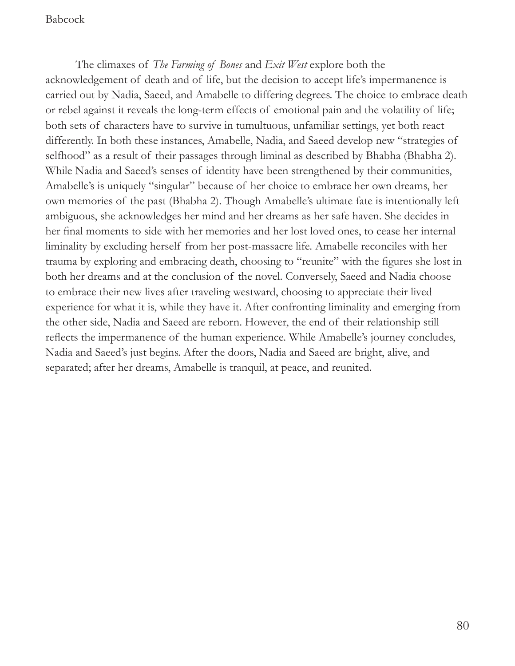The climaxes of *The Farming of Bones* and *Exit West* explore both the acknowledgement of death and of life, but the decision to accept life's impermanence is carried out by Nadia, Saeed, and Amabelle to differing degrees. The choice to embrace death or rebel against it reveals the long-term effects of emotional pain and the volatility of life; both sets of characters have to survive in tumultuous, unfamiliar settings, yet both react differently. In both these instances, Amabelle, Nadia, and Saeed develop new "strategies of selfhood" as a result of their passages through liminal as described by Bhabha (Bhabha 2). While Nadia and Saeed's senses of identity have been strengthened by their communities, Amabelle's is uniquely "singular" because of her choice to embrace her own dreams, her own memories of the past (Bhabha 2). Though Amabelle's ultimate fate is intentionally left ambiguous, she acknowledges her mind and her dreams as her safe haven. She decides in her fnal moments to side with her memories and her lost loved ones, to cease her internal liminality by excluding herself from her post-massacre life. Amabelle reconciles with her trauma by exploring and embracing death, choosing to "reunite" with the fgures she lost in both her dreams and at the conclusion of the novel. Conversely, Saeed and Nadia choose to embrace their new lives after traveling westward, choosing to appreciate their lived experience for what it is, while they have it. After confronting liminality and emerging from the other side, Nadia and Saeed are reborn. However, the end of their relationship still refects the impermanence of the human experience. While Amabelle's journey concludes, Nadia and Saeed's just begins. After the doors, Nadia and Saeed are bright, alive, and separated; after her dreams, Amabelle is tranquil, at peace, and reunited.